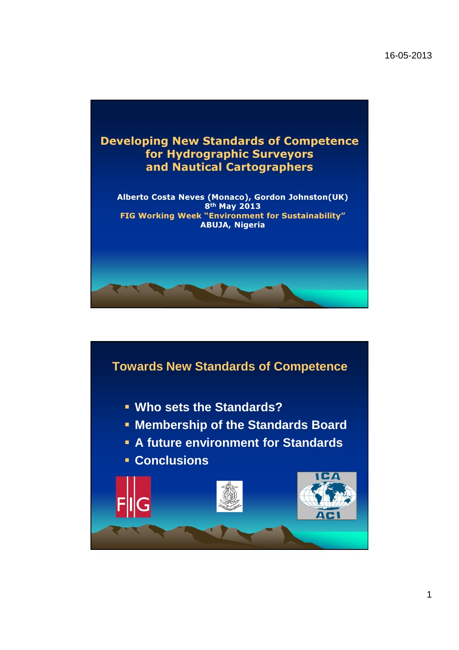

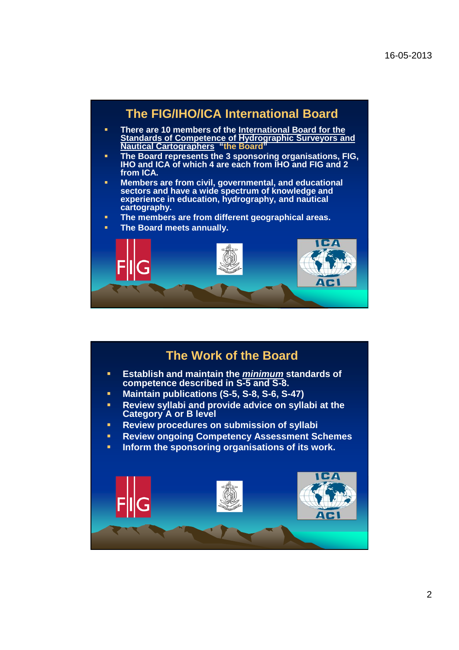

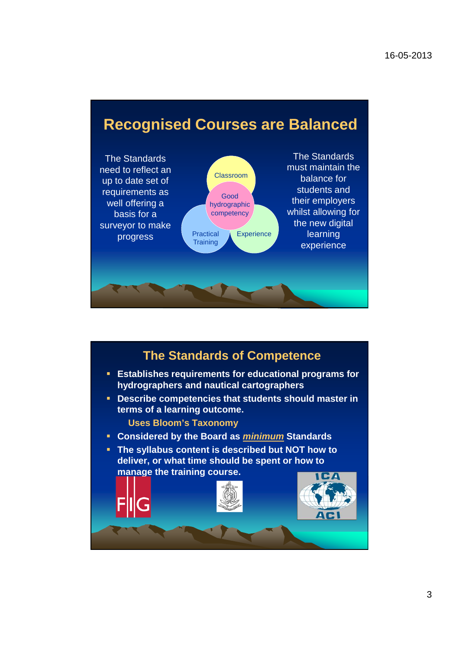## **Recognised Courses are Balanced**



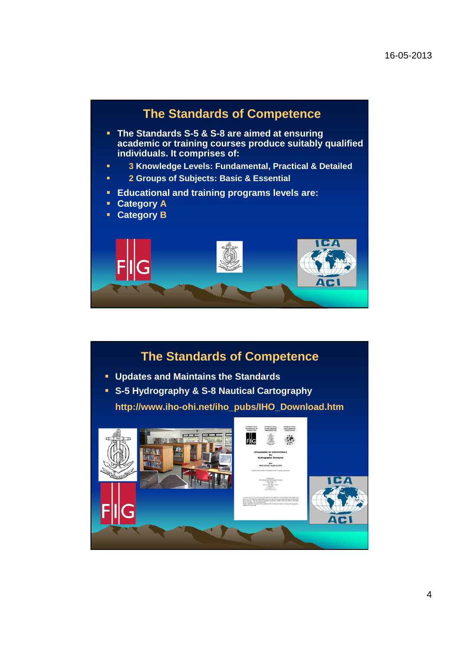

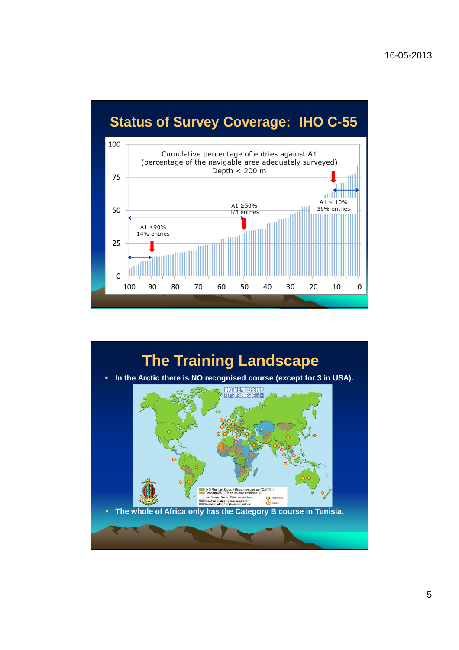## **Status of Survey Coverage: IHO C-55**



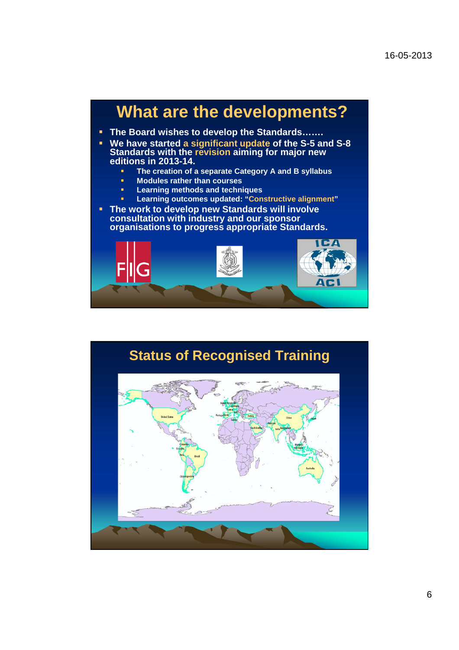## **What are the developments? The Board wishes to develop the Standards……. We have started a significant update of the S-5 and S-8 Standards with the revision aiming for major new editions in 2013-14. The creation of a separate Category A and B syllabus Modules rather than courses Learning methods and techniques Learning outcomes updated: "Constructive alignment" The work to develop new Standards will involve consultation with industry and our sponsor organisations to progress appropriate Standards.** CA

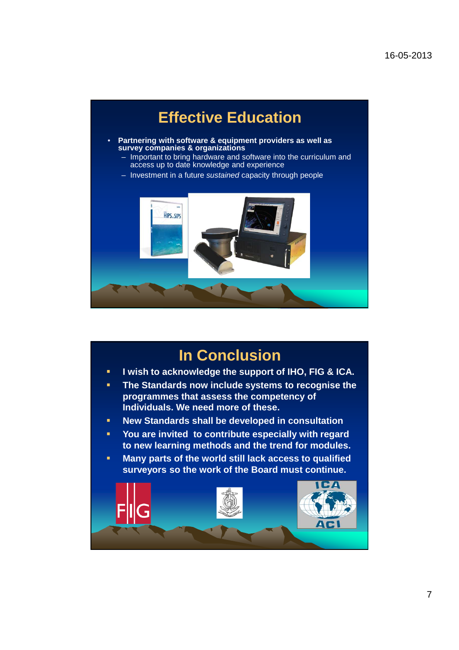